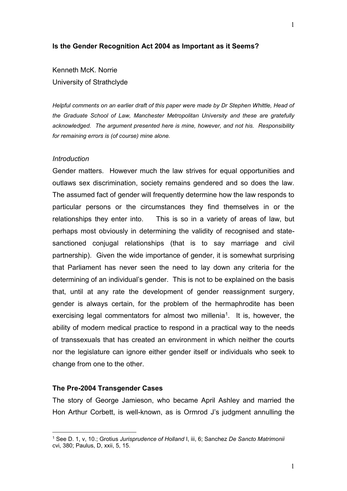### **Is the Gender Recognition Act 2004 as Important as it Seems?**

Kenneth McK. Norrie University of Strathclyde

*Helpful comments on an earlier draft of this paper were made by Dr Stephen Whittle, Head of the Graduate School of Law, Manchester Metropolitan University and these are gratefully acknowledged. The argument presented here is mine, however, and not his. Responsibility for remaining errors is (of course) mine alone.*

#### *Introduction*

Gender matters. However much the law strives for equal opportunities and outlaws sex discrimination, society remains gendered and so does the law. The assumed fact of gender will frequently determine how the law responds to particular persons or the circumstances they find themselves in or the relationships they enter into. This is so in a variety of areas of law, but perhaps most obviously in determining the validity of recognised and statesanctioned conjugal relationships (that is to say marriage and civil partnership). Given the wide importance of gender, it is somewhat surprising that Parliament has never seen the need to lay down any criteria for the determining of an individual's gender. This is not to be explained on the basis that, until at any rate the development of gender reassignment surgery, gender is always certain, for the problem of the hermaphrodite has been exercising legal commentators for almost two millenia<sup>1</sup>. It is, however, the ability of modern medical practice to respond in a practical way to the needs of transsexuals that has created an environment in which neither the courts nor the legislature can ignore either gender itself or individuals who seek to change from one to the other.

### **The Pre-2004 Transgender Cases**

<u>.</u>

The story of George Jamieson, who became April Ashley and married the Hon Arthur Corbett, is well-known, as is Ormrod J's judgment annulling the

<sup>1</sup> See D. 1, v, 10.; Grotius *Jurisprudence of Holland* I, iii, 6; Sanchez *De Sancto Matrimonii* cvi, 380; Paulus, D, xxii, 5, 15.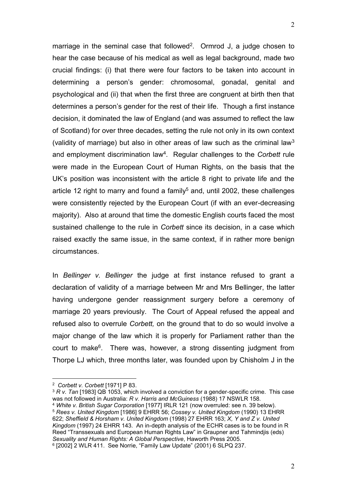marriage in the seminal case that followed<sup>2</sup>. Ormrod J, a judge chosen to hear the case because of his medical as well as legal background, made two crucial findings: (i) that there were four factors to be taken into account in determining a person's gender: chromosomal, gonadal, genital and psychological and (ii) that when the first three are congruent at birth then that determines a person's gender for the rest of their life. Though a first instance decision, it dominated the law of England (and was assumed to reflect the law of Scotland) for over three decades, setting the rule not only in its own context (validity of marriage) but also in other areas of law such as the criminal law<sup>3</sup> and employment discrimination law<sup>4</sup> . Regular challenges to the *Corbett* rule were made in the European Court of Human Rights, on the basis that the UK's position was inconsistent with the article 8 right to private life and the article 12 right to marry and found a family<sup>5</sup> and, until 2002, these challenges were consistently rejected by the European Court (if with an ever-decreasing majority). Also at around that time the domestic English courts faced the most sustained challenge to the rule in *Corbett* since its decision, in a case which raised exactly the same issue, in the same context, if in rather more benign circumstances.

In *Bellinger v. Bellinger* the judge at first instance refused to grant a declaration of validity of a marriage between Mr and Mrs Bellinger, the latter having undergone gender reassignment surgery before a ceremony of marriage 20 years previously. The Court of Appeal refused the appeal and refused also to overrule *Corbett,* on the ground that to do so would involve a major change of the law which it is properly for Parliament rather than the court to make<sup>6</sup>. There was, however, a strong dissenting judgment from Thorpe LJ which, three months later, was founded upon by Chisholm J in the

<sup>2</sup> *Corbett v. Corbett* [1971] P 83.

<sup>&</sup>lt;sup>3</sup> *R v. Tan* [1983] QB 1053, which involved a conviction for a gender-specific crime. This case was not followed in Australia: *R v. Harris and McGuiness* (1988) 17 NSWLR 158.

<sup>4</sup> *White v. British Sugar Corporation* [1977] IRLR 121 (now overruled: see n. 39 below). <sup>5</sup> *Rees v. United Kingdom* [1986] 9 EHRR 56; *Cossey v. United Kingdom* (1990) 13 EHRR 622; *Sheffield & Horsham v. United Kingdom* (1998) 27 EHRR 163; *X, Y and Z v. United Kingdom* (1997) 24 EHRR 143. An in-depth analysis of the ECHR cases is to be found in R Reed "Transsexuals and European Human Rights Law" in Graupner and Tahmindjis (eds) *Sexuality and Human Rights: A Global Perspective*, Haworth Press 2005. 6 [2002] 2 WLR 411. See Norrie, "Family Law Update" (2001) 6 SLPQ 237.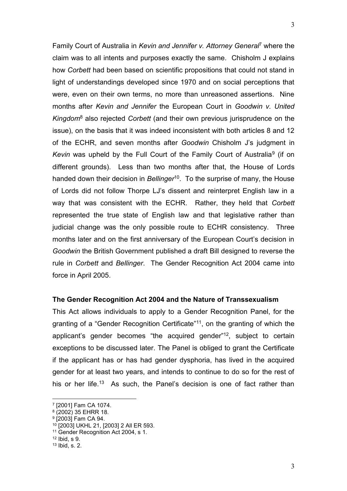Family Court of Australia in *Kevin and Jennifer v. Attorney General*<sup>7</sup> where the claim was to all intents and purposes exactly the same*.* Chisholm J explains how *Corbett* had been based on scientific propositions that could not stand in light of understandings developed since 1970 and on social perceptions that were, even on their own terms, no more than unreasoned assertions. Nine months after *Kevin and Jennifer* the European Court in *Goodwin v. United Kingdom*<sup>8</sup> also rejected *Corbett* (and their own previous jurisprudence on the issue), on the basis that it was indeed inconsistent with both articles 8 and 12 of the ECHR, and seven months after *Goodwin* Chisholm J's judgment in Kevin was upheld by the Full Court of the Family Court of Australia<sup>9</sup> (if on different grounds). Less than two months after that, the House of Lords handed down their decision in *Bellinger*<sup>10</sup>. To the surprise of many, the House of Lords did not follow Thorpe LJ's dissent and reinterpret English law in a way that was consistent with the ECHR. Rather, they held that *Corbett*  represented the true state of English law and that legislative rather than judicial change was the only possible route to ECHR consistency. Three months later and on the first anniversary of the European Court's decision in *Goodwin* the British Government published a draft Bill designed to reverse the rule in *Corbett* and *Bellinger*. The Gender Recognition Act 2004 came into force in April 2005.

# **The Gender Recognition Act 2004 and the Nature of Transsexualism**

This Act allows individuals to apply to a Gender Recognition Panel, for the granting of a "Gender Recognition Certificate"<sup>11</sup>, on the granting of which the applicant's gender becomes "the acquired gender"<sup>12</sup>, subject to certain exceptions to be discussed later. The Panel is obliged to grant the Certificate if the applicant has or has had gender dysphoria, has lived in the acquired gender for at least two years, and intends to continue to do so for the rest of his or her life.<sup>13</sup> As such, the Panel's decision is one of fact rather than

<sup>7</sup> [2001] Fam CA 1074.

<sup>8</sup> (2002) 35 EHRR 18.

<sup>&</sup>lt;sup>9</sup> [2003] Fam CA 94.

<sup>10</sup> [2003] UKHL 21, [2003] 2 All ER 593.

<sup>&</sup>lt;sup>11</sup> Gender Recognition Act 2004, s 1.

<sup>12</sup> Ibid, s 9.

<sup>13</sup> Ibid, s. 2.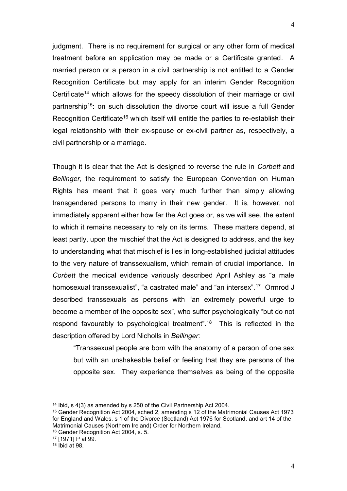judgment. There is no requirement for surgical or any other form of medical treatment before an application may be made or a Certificate granted. A married person or a person in a civil partnership is not entitled to a Gender Recognition Certificate but may apply for an interim Gender Recognition Certificate<sup>14</sup> which allows for the speedy dissolution of their marriage or civil partnership<sup>15</sup>: on such dissolution the divorce court will issue a full Gender Recognition Certificate<sup>16</sup> which itself will entitle the parties to re-establish their legal relationship with their ex-spouse or ex-civil partner as, respectively, a civil partnership or a marriage.

Though it is clear that the Act is designed to reverse the rule in *Corbett* and *Bellinger*, the requirement to satisfy the European Convention on Human Rights has meant that it goes very much further than simply allowing transgendered persons to marry in their new gender. It is, however, not immediately apparent either how far the Act goes or, as we will see, the extent to which it remains necessary to rely on its terms. These matters depend, at least partly, upon the mischief that the Act is designed to address, and the key to understanding what that mischief is lies in long-established judicial attitudes to the very nature of transsexualism, which remain of crucial importance. In *Corbett* the medical evidence variously described April Ashley as "a male homosexual transsexualist", "a castrated male" and "an intersex".<sup>17</sup> Ormrod J described transsexuals as persons with "an extremely powerful urge to become a member of the opposite sex", who suffer psychologically "but do not respond favourably to psychological treatment".<sup>18</sup> This is reflected in the description offered by Lord Nicholls in *Bellinger*:

"Transsexual people are born with the anatomy of a person of one sex but with an unshakeable belief or feeling that they are persons of the opposite sex. They experience themselves as being of the opposite

<sup>14</sup> Ibid, s 4(3) as amended by s 250 of the Civil Partnership Act 2004.

<sup>15</sup> Gender Recognition Act 2004, sched 2, amending s 12 of the Matrimonial Causes Act 1973 for England and Wales, s 1 of the Divorce (Scotland) Act 1976 for Scotland, and art 14 of the Matrimonial Causes (Northern Ireland) Order for Northern Ireland.

<sup>&</sup>lt;sup>16</sup> Gender Recognition Act 2004, s. 5.

<sup>17</sup> [1971] P at 99.

 $18$  Ibid at 98.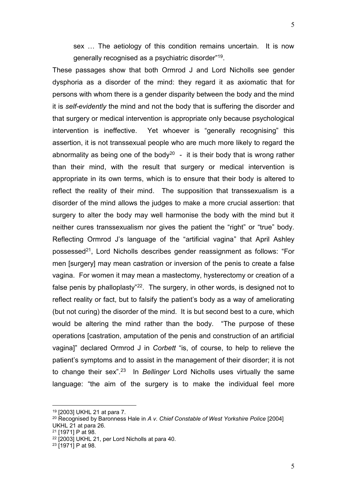sex … The aetiology of this condition remains uncertain. It is now generally recognised as a psychiatric disorder"<sup>19</sup>.

These passages show that both Ormrod J and Lord Nicholls see gender dysphoria as a disorder of the mind: they regard it as axiomatic that for persons with whom there is a gender disparity between the body and the mind it is *self-evidently* the mind and not the body that is suffering the disorder and that surgery or medical intervention is appropriate only because psychological intervention is ineffective. Yet whoever is "generally recognising" this assertion, it is not transsexual people who are much more likely to regard the abnormality as being one of the body<sup>20</sup> - it is their body that is wrong rather than their mind, with the result that surgery or medical intervention is appropriate in its own terms, which is to ensure that their body is altered to reflect the reality of their mind. The supposition that transsexualism is a disorder of the mind allows the judges to make a more crucial assertion: that surgery to alter the body may well harmonise the body with the mind but it neither cures transsexualism nor gives the patient the "right" or "true" body. Reflecting Ormrod J's language of the "artificial vagina" that April Ashley possessed<sup>21</sup>, Lord Nicholls describes gender reassignment as follows: "For men [surgery] may mean castration or inversion of the penis to create a false vagina. For women it may mean a mastectomy, hysterectomy or creation of a false penis by phalloplasty<sup>"22</sup>. The surgery, in other words, is designed not to reflect reality or fact, but to falsify the patient's body as a way of ameliorating (but not curing) the disorder of the mind. It is but second best to a cure, which would be altering the mind rather than the body. "The purpose of these operations [castration, amputation of the penis and construction of an artificial vagina]" declared Ormrod J in *Corbett* "is, of course, to help to relieve the patient's symptoms and to assist in the management of their disorder; it is not to change their sex".<sup>23</sup> In *Bellinger* Lord Nicholls uses virtually the same language: "the aim of the surgery is to make the individual feel more

<sup>19</sup> [2003] UKHL 21 at para 7.

<sup>20</sup> Recognised by Baronness Hale in *A v. Chief Constable of West Yorkshire Police* [2004] UKHL 21 at para 26.

<sup>21</sup> [1971] P at 98.

 $22$  [2003] UKHL 21, per Lord Nicholls at para 40.

 $23$  [1971] P at 98.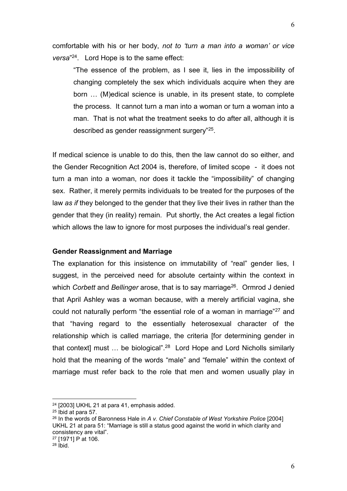comfortable with his or her body, *not to 'turn a man into a woman' or vice versa*" <sup>24</sup>. Lord Hope is to the same effect:

"The essence of the problem, as I see it, lies in the impossibility of changing completely the sex which individuals acquire when they are born … (M)edical science is unable, in its present state, to complete the process. It cannot turn a man into a woman or turn a woman into a man. That is not what the treatment seeks to do after all, although it is described as gender reassignment surgery"<sup>25</sup>.

If medical science is unable to do this, then the law cannot do so either, and the Gender Recognition Act 2004 is, therefore, of limited scope - it does not turn a man into a woman, nor does it tackle the "impossibility" of changing sex. Rather, it merely permits individuals to be treated for the purposes of the law *as if* they belonged to the gender that they live their lives in rather than the gender that they (in reality) remain. Put shortly, the Act creates a legal fiction which allows the law to ignore for most purposes the individual's real gender.

# **Gender Reassignment and Marriage**

The explanation for this insistence on immutability of "real" gender lies, I suggest, in the perceived need for absolute certainty within the context in which *Corbett* and *Bellinger* arose, that is to say marriage<sup>26</sup>. Ormrod J denied that April Ashley was a woman because, with a merely artificial vagina, she could not naturally perform "the essential role of a woman in marriage"<sup>27</sup> and that "having regard to the essentially heterosexual character of the relationship which is called marriage, the criteria [for determining gender in that context] must ... be biological".<sup>28</sup> Lord Hope and Lord Nicholls similarly hold that the meaning of the words "male" and "female" within the context of marriage must refer back to the role that men and women usually play in

<sup>24</sup> [2003] UKHL 21 at para 41, emphasis added.

 $25$  Ibid at para 57.

<sup>26</sup> In the words of Baronness Hale in *A v. Chief Constable of West Yorkshire Police* [2004] UKHL 21 at para 51: "Marriage is still a status good against the world in which clarity and consistency are vital".

<sup>27</sup> [1971] P at 106.

 $28$  Ibid.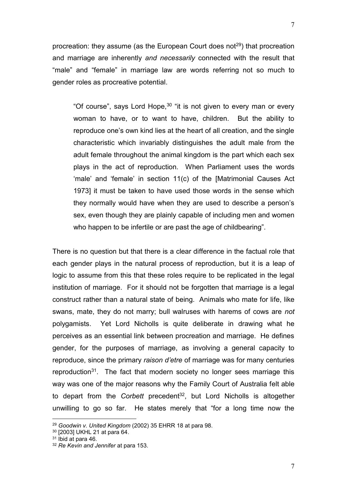procreation: they assume (as the European Court does not<sup>29</sup>) that procreation and marriage are inherently *and necessarily* connected with the result that "male" and "female" in marriage law are words referring not so much to gender roles as procreative potential.

"Of course", says Lord Hope,  $30$  "it is not given to every man or every woman to have, or to want to have, children. But the ability to reproduce one's own kind lies at the heart of all creation, and the single characteristic which invariably distinguishes the adult male from the adult female throughout the animal kingdom is the part which each sex plays in the act of reproduction. When Parliament uses the words 'male' and 'female' in section 11(c) of the [Matrimonial Causes Act 1973] it must be taken to have used those words in the sense which they normally would have when they are used to describe a person's sex, even though they are plainly capable of including men and women who happen to be infertile or are past the age of childbearing".

There is no question but that there is a clear difference in the factual role that each gender plays in the natural process of reproduction, but it is a leap of logic to assume from this that these roles require to be replicated in the legal institution of marriage. For it should not be forgotten that marriage is a legal construct rather than a natural state of being. Animals who mate for life, like swans, mate, they do not marry; bull walruses with harems of cows are *not* polygamists. Yet Lord Nicholls is quite deliberate in drawing what he perceives as an essential link between procreation and marriage. He defines gender, for the purposes of marriage, as involving a general capacity to reproduce, since the primary *raison d'etre* of marriage was for many centuries reproduction<sup>31</sup>. The fact that modern society no longer sees marriage this way was one of the major reasons why the Family Court of Australia felt able to depart from the *Corbett* precedent<sup>32</sup>, but Lord Nicholls is altogether unwilling to go so far. He states merely that "for a long time now the

<sup>29</sup> *Goodwin v. United Kingdom* (2002) 35 EHRR 18 at para 98.

<sup>30</sup> [2003] UKHL 21 at para 64.

 $31$  Ibid at para 46.

<sup>32</sup> *Re Kevin and Jennifer* at para 153.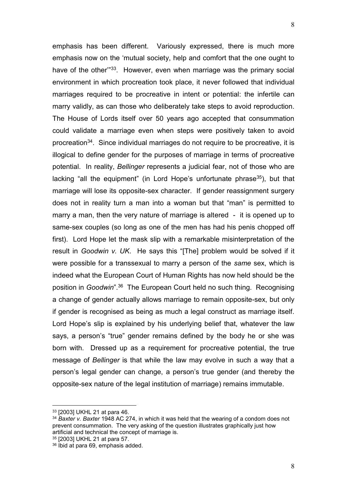emphasis has been different. Variously expressed, there is much more emphasis now on the 'mutual society, help and comfort that the one ought to have of the other"<sup>33</sup>. However, even when marriage was the primary social environment in which procreation took place, it never followed that individual marriages required to be procreative in intent or potential: the infertile can marry validly, as can those who deliberately take steps to avoid reproduction. The House of Lords itself over 50 years ago accepted that consummation could validate a marriage even when steps were positively taken to avoid procreation<sup>34</sup>. Since individual marriages do not require to be procreative, it is illogical to define gender for the purposes of marriage in terms of procreative potential. In reality, *Bellinger* represents a judicial fear, not of those who are lacking "all the equipment" (in Lord Hope's unfortunate phrase $35$ ), but that marriage will lose its opposite-sex character. If gender reassignment surgery does not in reality turn a man into a woman but that "man" is permitted to marry a man, then the very nature of marriage is altered - it is opened up to same-sex couples (so long as one of the men has had his penis chopped off first). Lord Hope let the mask slip with a remarkable misinterpretation of the result in *Goodwin v. UK*. He says this "[The] problem would be solved if it were possible for a transsexual to marry a person of the *same* sex, which is indeed what the European Court of Human Rights has now held should be the position in *Goodwin*".<sup>36</sup> The European Court held no such thing. Recognising a change of gender actually allows marriage to remain opposite-sex, but only if gender is recognised as being as much a legal construct as marriage itself. Lord Hope's slip is explained by his underlying belief that, whatever the law says, a person's "true" gender remains defined by the body he or she was born with. Dressed up as a requirement for procreative potential, the true message of *Bellinger* is that while the law may evolve in such a way that a person's legal gender can change, a person's true gender (and thereby the opposite-sex nature of the legal institution of marriage) remains immutable.

<sup>33</sup> [2003] UKHL 21 at para 46.

<sup>34</sup> *Baxter v. Baxter* 1948 AC 274, in which it was held that the wearing of a condom does not prevent consummation. The very asking of the question illustrates graphically just how artificial and technical the concept of marriage is.

<sup>35</sup> [2003] UKHL 21 at para 57.

<sup>36</sup> Ibid at para 69, emphasis added.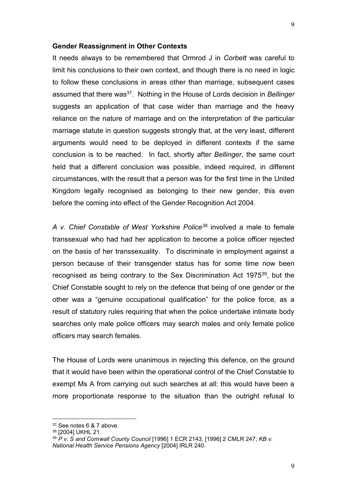### **Gender Reassignment in Other Contexts**

It needs always to be remembered that Ormrod J in *Corbett* was careful to limit his conclusions to their own context, and though there is no need in logic to follow these conclusions in areas other than marriage, subsequent cases assumed that there was<sup>37</sup>. Nothing in the House of Lords decision in *Bellinger* suggests an application of that case wider than marriage and the heavy reliance on the nature of marriage and on the interpretation of the particular marriage statute in question suggests strongly that, at the very least, different arguments would need to be deployed in different contexts if the same conclusion is to be reached. In fact, shortly after *Bellinger*, the same court held that a different conclusion was possible, indeed required, in different circumstances, with the result that a person was for the first time in the United Kingdom legally recognised as belonging to their new gender, this even before the coming into effect of the Gender Recognition Act 2004.

*A v. Chief Constable of West Yorkshire Police*<sup>38</sup> involved a male to female transsexual who had had her application to become a police officer rejected on the basis of her transsexuality. To discriminate in employment against a person because of their transgender status has for some time now been recognised as being contrary to the Sex Discrimination Act 1975<sup>39</sup>, but the Chief Constable sought to rely on the defence that being of one gender or the other was a "genuine occupational qualification" for the police force, as a result of statutory rules requiring that when the police undertake intimate body searches only male police officers may search males and only female police officers may search females.

The House of Lords were unanimous in rejecting this defence, on the ground that it would have been within the operational control of the Chief Constable to exempt Ms A from carrying out such searches at all: this would have been a more proportionate response to the situation than the outright refusal to

<sup>37</sup> See notes 6 & 7 above.

<sup>38</sup> [2004] UKHL 21.

<sup>39</sup> *P v. S and Cornwall County Council* [1996] 1 ECR 2143, [1996] 2 CMLR 247; *KB v. National Health Service Pensions Agency* [2004] IRLR 240.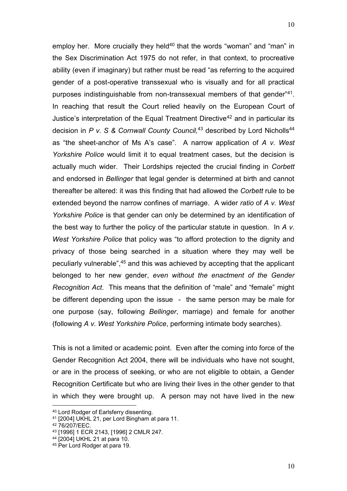employ her. More crucially they held<sup>40</sup> that the words "woman" and "man" in the Sex Discrimination Act 1975 do not refer, in that context, to procreative ability (even if imaginary) but rather must be read "as referring to the acquired gender of a post-operative transsexual who is visually and for all practical purposes indistinguishable from non-transsexual members of that gender<sup>"41</sup>. In reaching that result the Court relied heavily on the European Court of Justice's interpretation of the Equal Treatment Directive<sup>42</sup> and in particular its decision in *P v. S & Cornwall County Council*,<sup>43</sup> described by Lord Nicholls<sup>44</sup> as "the sheet-anchor of Ms A's case". A narrow application of *A v. West Yorkshire Police* would limit it to equal treatment cases, but the decision is actually much wider. Their Lordships rejected the crucial finding in *Corbett* and endorsed in *Bellinger* that legal gender is determined at birth and cannot thereafter be altered: it was this finding that had allowed the *Corbett* rule to be extended beyond the narrow confines of marriage. A wider *ratio* of *A v. West Yorkshire Police* is that gender can only be determined by an identification of the best way to further the policy of the particular statute in question. In *A v. West Yorkshire Police* that policy was "to afford protection to the dignity and privacy of those being searched in a situation where they may well be peculiarly vulnerable", <sup>45</sup> and this was achieved by accepting that the applicant belonged to her new gender, *even without the enactment of the Gender Recognition Act*. This means that the definition of "male" and "female" might be different depending upon the issue - the same person may be male for one purpose (say, following *Bellinger*, marriage) and female for another (following *A v. West Yorkshire Police*, performing intimate body searches).

This is not a limited or academic point. Even after the coming into force of the Gender Recognition Act 2004, there will be individuals who have not sought, or are in the process of seeking, or who are not eligible to obtain, a Gender Recognition Certificate but who are living their lives in the other gender to that in which they were brought up. A person may not have lived in the new

<sup>40</sup> Lord Rodger of Earlsferry dissenting.

<sup>41</sup> [2004] UKHL 21, per Lord Bingham at para 11.

<sup>42</sup> 76/207/EEC.

<sup>43</sup> [1996] 1 ECR 2143, [1996] 2 CMLR 247.

<sup>44</sup> [2004] UKHL 21 at para 10.

<sup>45</sup> Per Lord Rodger at para 19.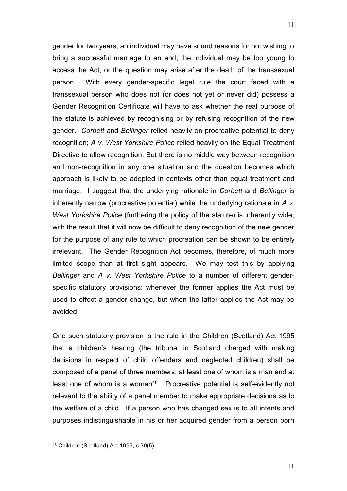gender for two years; an individual may have sound reasons for not wishing to bring a successful marriage to an end; the individual may be too young to access the Act; or the question may arise after the death of the transsexual person. With every gender-specific legal rule the court faced with a transsexual person who does not (or does not yet or never did) possess a Gender Recognition Certificate will have to ask whether the real purpose of the statute is achieved by recognising or by refusing recognition of the new gender. *Corbett* and *Bellinger* relied heavily on procreative potential to deny recognition; *A v. West Yorkshire Police* relied heavily on the Equal Treatment Directive to allow recognition. But there is no middle way between recognition and non-recognition in any one situation and the question becomes which approach is likely to be adopted in contexts other than equal treatment and marriage. I suggest that the underlying rationale in *Corbett* and *Bellinger* is inherently narrow (procreative potential) while the underlying rationale in *A v. West Yorkshire Police* (furthering the policy of the statute) is inherently wide, with the result that it will now be difficult to deny recognition of the new gender for the purpose of any rule to which procreation can be shown to be entirely irrelevant. The Gender Recognition Act becomes, therefore, of much more limited scope than at first sight appears. We may test this by applying *Bellinger* and *A v. West Yorkshire Police* to a number of different genderspecific statutory provisions: whenever the former applies the Act must be used to effect a gender change, but when the latter applies the Act may be avoided.

One such statutory provision is the rule in the Children (Scotland) Act 1995 that a children's hearing (the tribunal in Scotland charged with making decisions in respect of child offenders and neglected children) shall be composed of a panel of three members, at least one of whom is a man and at least one of whom is a woman<sup>46</sup>. Procreative potential is self-evidently not relevant to the ability of a panel member to make appropriate decisions as to the welfare of a child. If a person who has changed sex is to all intents and purposes indistinguishable in his or her acquired gender from a person born

<sup>46</sup> Children (Scotland) Act 1995, s 39(5).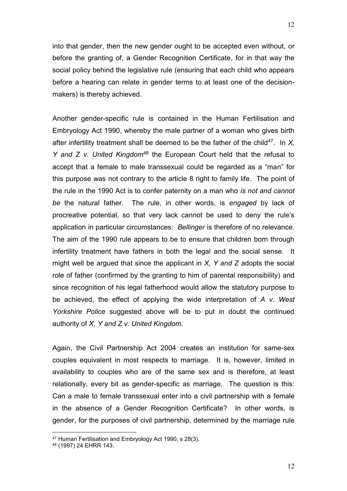into that gender, then the new gender ought to be accepted even without, or before the granting of, a Gender Recognition Certificate, for in that way the social policy behind the legislative rule (ensuring that each child who appears before a hearing can relate in gender terms to at least one of the decisionmakers) is thereby achieved.

Another gender-specific rule is contained in the Human Fertilisation and Embryology Act 1990, whereby the male partner of a woman who gives birth after infertility treatment shall be deemed to be the father of the child<sup>47</sup>. In  $X$ , *Y and Z v. United Kingdom*<sup>48</sup> the European Court held that the refusal to accept that a female to male transsexual could be regarded as a "man" for this purpose was not contrary to the article 8 right to family life. The point of the rule in the 1990 Act is to confer paternity on a man who *is not and cannot be* the natural father. The rule, in other words, is *engaged* by lack of procreative potential, so that very lack cannot be used to deny the rule's application in particular circumstances: *Bellinger* is therefore of no relevance. The aim of the 1990 rule appears to be to ensure that children born through infertility treatment have fathers in both the legal and the social sense. It might well be argued that since the applicant in *X, Y and Z* adopts the social role of father (confirmed by the granting to him of parental responsibility) and since recognition of his legal fatherhood would allow the statutory purpose to be achieved, the effect of applying the wide interpretation of *A v. West Yorkshire Police* suggested above will be to put in doubt the continued authority of *X, Y and Z v. United Kingdom*.

Again, the Civil Partnership Act 2004 creates an institution for same-sex couples equivalent in most respects to marriage. It is, however, limited in availability to couples who are of the same sex and is therefore, at least relationally, every bit as gender-specific as marriage. The question is this: Can a male to female transsexual enter into a civil partnership with a female in the absence of a Gender Recognition Certificate? In other words, is gender, for the purposes of civil partnership, determined by the marriage rule

<u>.</u>

<sup>47</sup> Human Fertilisation and Embryology Act 1990, s 28(3).

<sup>48</sup> (1997) 24 EHRR 143.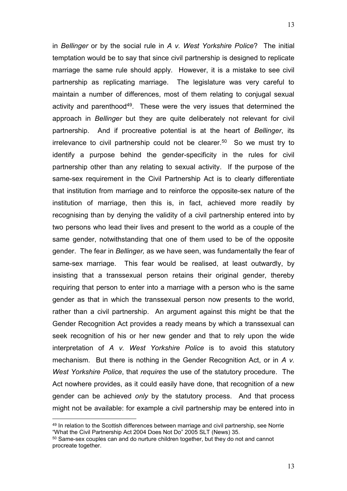in *Bellinger* or by the social rule in *A v. West Yorkshire Police*? The initial temptation would be to say that since civil partnership is designed to replicate marriage the same rule should apply. However, it is a mistake to see civil partnership as replicating marriage. The legislature was very careful to maintain a number of differences, most of them relating to conjugal sexual activity and parenthood<sup>49</sup>. These were the very issues that determined the approach in *Bellinger* but they are quite deliberately not relevant for civil partnership. And if procreative potential is at the heart of *Bellinger*, its  $i$ rrelevance to civil partnership could not be clearer.<sup>50</sup> So we must try to identify a purpose behind the gender-specificity in the rules for civil partnership other than any relating to sexual activity. If the purpose of the same-sex requirement in the Civil Partnership Act is to clearly differentiate that institution from marriage and to reinforce the opposite-sex nature of the institution of marriage, then this is, in fact, achieved more readily by recognising than by denying the validity of a civil partnership entered into by two persons who lead their lives and present to the world as a couple of the same gender, notwithstanding that one of them used to be of the opposite gender. The fear in *Bellinger,* as we have seen, was fundamentally the fear of same-sex marriage. This fear would be realised, at least outwardly, by insisting that a transsexual person retains their original gender, thereby requiring that person to enter into a marriage with a person who is the same gender as that in which the transsexual person now presents to the world, rather than a civil partnership. An argument against this might be that the Gender Recognition Act provides a ready means by which a transsexual can seek recognition of his or her new gender and that to rely upon the wide interpretation of *A v. West Yorkshire Police* is to avoid this statutory mechanism. But there is nothing in the Gender Recognition Act, or in *A v. West Yorkshire Police*, that *requires* the use of the statutory procedure. The Act nowhere provides, as it could easily have done, that recognition of a new gender can be achieved *only* by the statutory process. And that process might not be available: for example a civil partnership may be entered into in

<sup>&</sup>lt;sup>49</sup> In relation to the Scottish differences between marriage and civil partnership, see Norrie "What the Civil Partnership Act 2004 Does Not Do" 2005 SLT (News) 35.

<sup>50</sup> Same-sex couples can and do nurture children together, but they do not and cannot procreate together.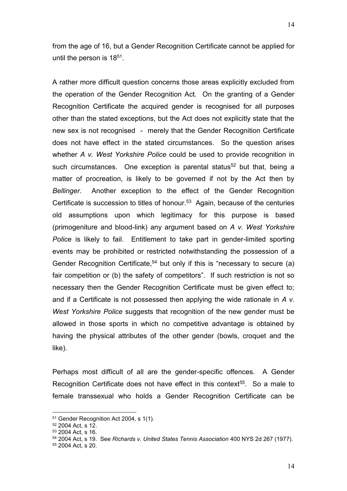from the age of 16, but a Gender Recognition Certificate cannot be applied for until the person is 18<sup>51</sup>.

A rather more difficult question concerns those areas explicitly excluded from the operation of the Gender Recognition Act. On the granting of a Gender Recognition Certificate the acquired gender is recognised for all purposes other than the stated exceptions, but the Act does not explicitly state that the new sex is not recognised - merely that the Gender Recognition Certificate does not have effect in the stated circumstances. So the question arises whether *A v. West Yorkshire Police* could be used to provide recognition in such circumstances. One exception is parental status<sup>52</sup> but that, being a matter of procreation, is likely to be governed if not by the Act then by *Bellinger*. Another exception to the effect of the Gender Recognition Certificate is succession to titles of honour.<sup>53</sup> Again, because of the centuries old assumptions upon which legitimacy for this purpose is based (primogeniture and blood-link) any argument based on *A v. West Yorkshire Police* is likely to fail. Entitlement to take part in gender-limited sporting events may be prohibited or restricted notwithstanding the possession of a Gender Recognition Certificate, <sup>54</sup> but only if this is "necessary to secure (a) fair competition or (b) the safety of competitors". If such restriction is not so necessary then the Gender Recognition Certificate must be given effect to; and if a Certificate is not possessed then applying the wide rationale in *A v. West Yorkshire Police* suggests that recognition of the new gender must be allowed in those sports in which no competitive advantage is obtained by having the physical attributes of the other gender (bowls, croquet and the like).

Perhaps most difficult of all are the gender-specific offences. A Gender Recognition Certificate does not have effect in this context<sup>55</sup>. So a male to female transsexual who holds a Gender Recognition Certificate can be

<u>.</u>

<sup>51</sup> Gender Recognition Act 2004, s 1(1).

<sup>52</sup> 2004 Act, s 12.

<sup>53</sup> 2004 Act, s 16.

<sup>54</sup> 2004 Act, s 19. See *Richards v. United States Tennis Association* 400 NYS 2d 267 (1977).

<sup>55</sup> 2004 Act, s 20.